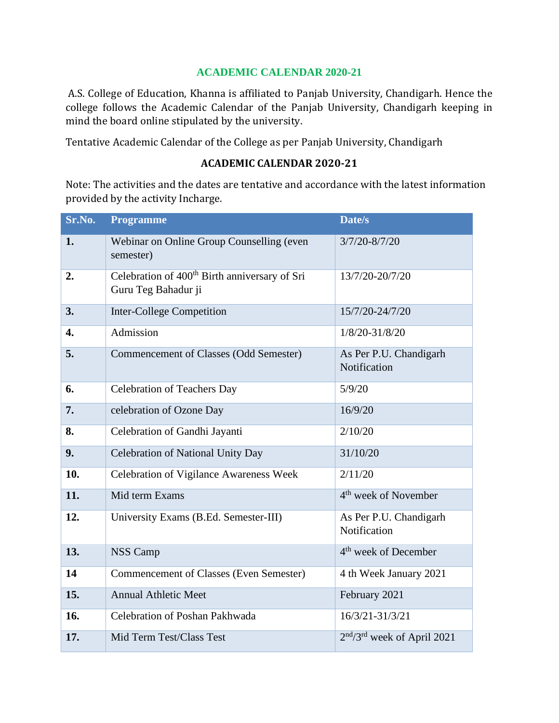## **ACADEMIC CALENDAR 2020-21**

A.S. College of Education, Khanna is affiliated to Panjab University, Chandigarh. Hence the college follows the Academic Calendar of the Panjab University, Chandigarh keeping in mind the board online stipulated by the university.

Tentative Academic Calendar of the College as per Panjab University, Chandigarh

## **ACADEMIC CALENDAR 2020-21**

Note: The activities and the dates are tentative and accordance with the latest information provided by the activity Incharge.

| Sr.No. | <b>Programme</b>                                                                 | Date/s                                 |
|--------|----------------------------------------------------------------------------------|----------------------------------------|
| 1.     | Webinar on Online Group Counselling (even<br>semester)                           | $3/7/20 - 8/7/20$                      |
| 2.     | Celebration of 400 <sup>th</sup> Birth anniversary of Sri<br>Guru Teg Bahadur ji | 13/7/20-20/7/20                        |
| 3.     | <b>Inter-College Competition</b>                                                 | 15/7/20-24/7/20                        |
| 4.     | Admission                                                                        | $1/8/20 - 31/8/20$                     |
| 5.     | Commencement of Classes (Odd Semester)                                           | As Per P.U. Chandigarh<br>Notification |
| 6.     | <b>Celebration of Teachers Day</b>                                               | 5/9/20                                 |
| 7.     | celebration of Ozone Day                                                         | 16/9/20                                |
| 8.     | Celebration of Gandhi Jayanti                                                    | 2/10/20                                |
| 9.     | <b>Celebration of National Unity Day</b>                                         | 31/10/20                               |
| 10.    | Celebration of Vigilance Awareness Week                                          | 2/11/20                                |
| 11.    | Mid term Exams                                                                   | 4 <sup>th</sup> week of November       |
| 12.    | University Exams (B.Ed. Semester-III)                                            | As Per P.U. Chandigarh<br>Notification |
| 13.    | <b>NSS Camp</b>                                                                  | 4 <sup>th</sup> week of December       |
| 14     | <b>Commencement of Classes (Even Semester)</b>                                   | 4 th Week January 2021                 |
| 15.    | <b>Annual Athletic Meet</b>                                                      | February 2021                          |
| 16.    | Celebration of Poshan Pakhwada                                                   | 16/3/21-31/3/21                        |
| 17.    | Mid Term Test/Class Test                                                         | $2nd/3rd$ week of April 2021           |